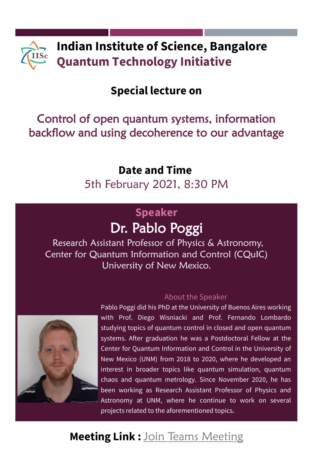

## **Special lecture on**

## Control of open quantum systems, information backflow and using decoherence to our advantage

### **Date and Time**

5th February 2021, 8:30 PM

## **Speaker** Dr. Pablo Poggi

Research Assistant Professor of Physics & Astronomy, Center for Quantum Information and Control (CQuIC) University of New Mexico.



#### About the Speaker

Pablo Poggi did his PhD at the University of Buenos Aires working with Prof. Diego Wisniacki and Prof. Fernando Lombardo studying topics of quantum control in closed and open quantum systems. After graduation he was a Postdoctoral Fellow at the Center for Quantum Information and Control in the University of New Mexico (UNM) from 2018 to 2020, where he developed an interest in broader topics like quantum simulation, quantum chaos and quantum metrology. Since November 2020, he has been working as Research Assistant Professor of Physics and Astronomy at UNM, where he continue to work on several projects related to the aforementioned topics.

# **Meeting Link :** [Join Teams Meeting](https://teams.microsoft.com/dl/launcher/launcher.html?url=%2F_%23%2Fl%2Fmeetup-join%2F19%3Ameeting_ZTVmZWUzMzUtYjlhZC00YmY0LTg3YmEtZjBiNjk4ZTA3YmFl%40thread.v2%2F0%3Fcontext%3D%257b%2522Tid%2522%253a%25226f15cd97-f6a7-41e3-b2c5-ad4193976476%2522%252c%2522Oid%2522%253a%2522b1e98dc1-4e01-4163-b345-6491abb1028a%2522%257d%26anon%3Dtrue&type=meetup-join&deeplinkId=f5e8c9a4-5b85-4fec-b6e4-690129889fa6&directDl=true&msLaunch=true&enableMobilePage=true&suppressPrompt=true)